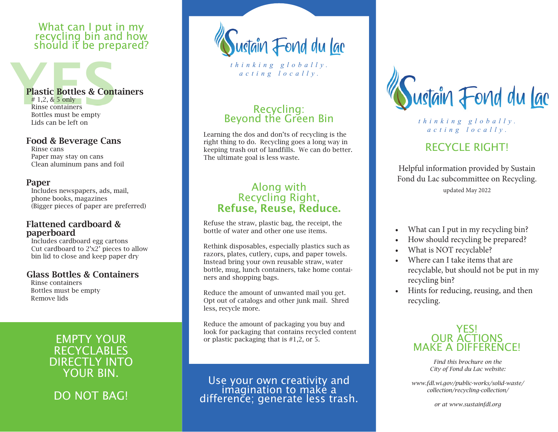#### What can I put in my recycling bin and how should it be prepared?

# Plastic Bottles & Cont Plastic Bottles & Containers

Rinse containers Bottles must be empty Lids can be left on

#### Food & Beverage Cans

Rinse cans Paper may stay on cans Clean aluminum pans and foil

#### Paper

Includes newspapers, ads, mail, phone books, magazines (Bigger pieces of paper are preferred)

#### Flattened cardboard & paperboard

Includes cardboard egg cartons Cut cardboard to 2'x2' pieces to allow bin lid to close and keep paper dry

#### Glass Bottles & Containers

Rinse containers Bottles must be empty Remove lids

## EMPTY YOUR RECYCLABLES DIRECTLY INTO YOUR BIN.

DO NOT BAG!

ustain Fond du <u>lac</u>

*thinking globally. acting locally.*

# Recycling:<br>Beyond the Green Bin

Learning the dos and don'ts of recycling is the right thing to do. Recycling goes a long way in keeping trash out of landfills. We can do better. The ultimate goal is less waste.

### Along with Recycling Right, Refuse, Reuse, Reduce.

Refuse the straw, plastic bag, the receipt, the bottle of water and other one use items.

Rethink disposables, especially plastics such as razors, plates, cutlery, cups, and paper towels. Instead bring your own reusable straw, water bottle, mug, lunch containers, take home containers and shopping bags.

Reduce the amount of unwanted mail you get. Opt out of catalogs and other junk mail. Shred less, recycle more.

Reduce the amount of packaging you buy and look for packaging that contains recycled content or plastic packaging that is #1,2, or 5.

Use your own creativity and<br>imagination to make a<br>difference; generate less trash.



*thinking globally. acting locally.*

# RECYCLE RIGHT!

Helpful information provided by Sustain Fond du Lac subcommittee on Recycling. updated May 2022

- What can I put in my recycling bin?
- How should recycling be prepared?
- What is NOT recyclable?
- Where can I take items that are recyclable, but should not be put in my recycling bin?
- Hints for reducing, reusing, and then recycling.

#### YES! OUR ACTIONS MAKE A DIFFERENCE!

*Find this brochure on the City of Fond du Lac website:* 

*[www.fdl.wi.gov/public-works/solid-waste/](https://www.fdl.wi.gov/public-works/solid-waste/collection/recycling-collection/) [collection/recycling-collection/](https://www.fdl.wi.gov/public-works/solid-waste/collection/recycling-collection/)*

*or at [www.sustainfdl.org](https://www.sustainfdl.org/)*